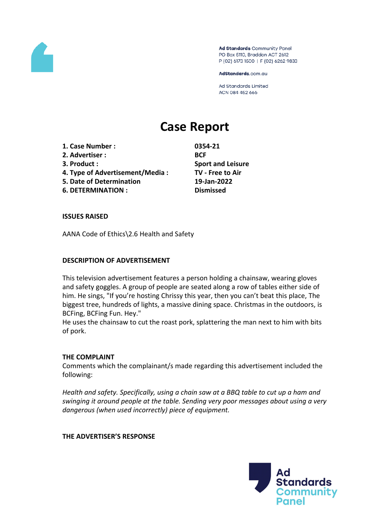

Ad Standards Community Panel PO Box 5110, Braddon ACT 2612 P (02) 6173 1500 | F (02) 6262 9833

AdStandards.com.au

Ad Standards Limited ACN 084 452 666

# **Case Report**

- **1. Case Number : 0354-21**
- **2. Advertiser : BCF**
- 
- **4. Type of Advertisement/Media : TV - Free to Air**
- **5. Date of Determination 19-Jan-2022**
- **6. DETERMINATION : Dismissed**

**3. Product : Sport and Leisure**

### **ISSUES RAISED**

AANA Code of Ethics\2.6 Health and Safety

### **DESCRIPTION OF ADVERTISEMENT**

This television advertisement features a person holding a chainsaw, wearing gloves and safety goggles. A group of people are seated along a row of tables either side of him. He sings, "If you're hosting Chrissy this year, then you can't beat this place, The biggest tree, hundreds of lights, a massive dining space. Christmas in the outdoors, is BCFing, BCFing Fun. Hey."

He uses the chainsaw to cut the roast pork, splattering the man next to him with bits of pork.

### **THE COMPLAINT**

Comments which the complainant/s made regarding this advertisement included the following:

*Health and safety. Specifically, using a chain saw at a BBQ table to cut up a ham and swinging it around people at the table. Sending very poor messages about using a very dangerous (when used incorrectly) piece of equipment.*

### **THE ADVERTISER'S RESPONSE**

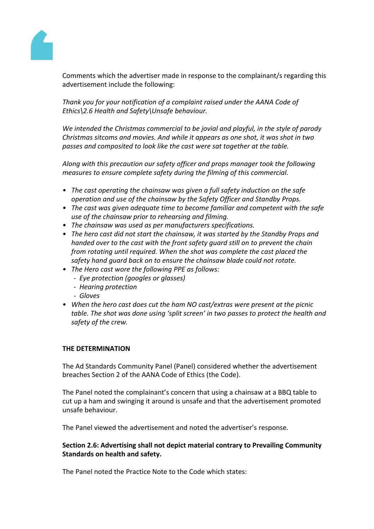

Comments which the advertiser made in response to the complainant/s regarding this advertisement include the following:

*Thank you for your notification of a complaint raised under the AANA Code of Ethics\2.6 Health and Safety\Unsafe behaviour.*

*We intended the Christmas commercial to be jovial and playful, in the style of parody Christmas sitcoms and movies. And while it appears as one shot, it was shot in two passes and composited to look like the cast were sat together at the table.*

*Along with this precaution our safety officer and props manager took the following measures to ensure complete safety during the filming of this commercial.* 

- *• The cast operating the chainsaw was given a full safety induction on the safe operation and use of the chainsaw by the Safety Officer and Standby Props.*
- *• The cast was given adequate time to become familiar and competent with the safe use of the chainsaw prior to rehearsing and filming.*
- *• The chainsaw was used as per manufacturers specifications.*
- *• The hero cast did not start the chainsaw, it was started by the Standby Props and handed over to the cast with the front safety guard still on to prevent the chain from rotating until required. When the shot was complete the cast placed the safety hand guard back on to ensure the chainsaw blade could not rotate.*
- *• The Hero cast wore the following PPE as follows:*
	- *Eye protection (googles or glasses)*
	- *Hearing protection*
	- *Gloves*
- *• When the hero cast does cut the ham NO cast/extras were present at the picnic table. The shot was done using 'split screen' in two passes to protect the health and safety of the crew.*

### **THE DETERMINATION**

The Ad Standards Community Panel (Panel) considered whether the advertisement breaches Section 2 of the AANA Code of Ethics (the Code).

The Panel noted the complainant's concern that using a chainsaw at a BBQ table to cut up a ham and swinging it around is unsafe and that the advertisement promoted unsafe behaviour.

The Panel viewed the advertisement and noted the advertiser's response.

## **Section 2.6: Advertising shall not depict material contrary to Prevailing Community Standards on health and safety.**

The Panel noted the Practice Note to the Code which states: